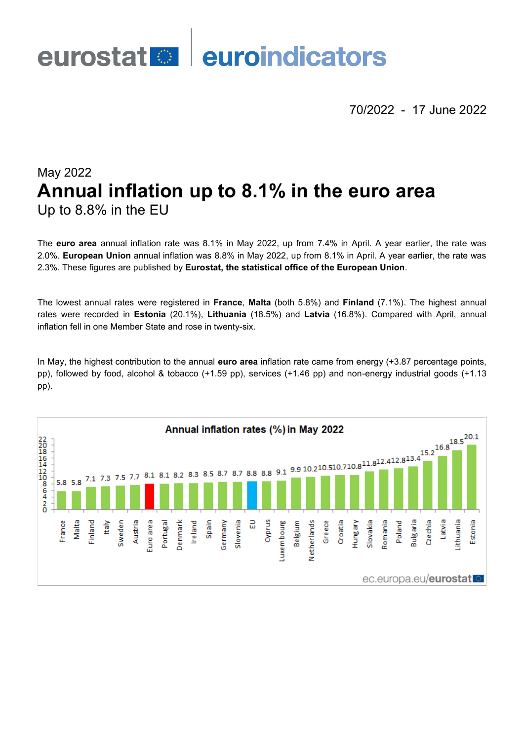

70/2022 - 17 June 2022

# May 2022 **Annual inflation up to 8.1% in the euro area** Up to 8.8% in the EU

The **euro area** annual inflation rate was 8.1% in May 2022, up from 7.4% in April. A year earlier, the rate was 2.0%. **European Union** annual inflation was 8.8% in May 2022, up from 8.1% in April. A year earlier, the rate was 2.3%. These figures are published by **Eurostat, the statistical office of the European Union**.

The lowest annual rates were registered in **France**, **Malta** (both 5.8%) and **Finland** (7.1%). The highest annual rates were recorded in **Estonia** (20.1%), **Lithuania** (18.5%) and **Latvia** (16.8%). Compared with April, annual inflation fell in one Member State and rose in twenty-six.

In May, the highest contribution to the annual **euro area** inflation rate came from energy (+3.87 percentage points, pp), followed by food, alcohol & tobacco (+1.59 pp), services (+1.46 pp) and non-energy industrial goods (+1.13 pp).

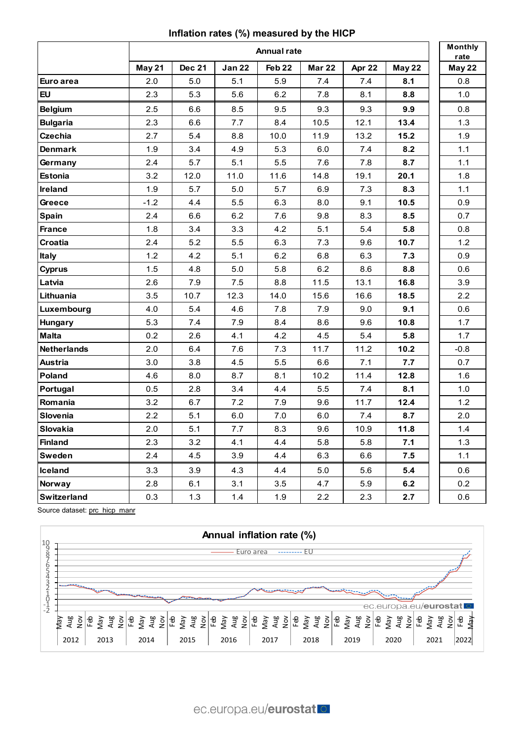## **Inflation rates (%) measured by the HICP**

|                    | <b>Annual rate</b> |               |               |                   |               |        |        |  | Monthly<br>rate |
|--------------------|--------------------|---------------|---------------|-------------------|---------------|--------|--------|--|-----------------|
|                    | May 21             | <b>Dec 21</b> | <b>Jan 22</b> | Feb <sub>22</sub> | <b>Mar 22</b> | Apr 22 | May 22 |  | May 22          |
| Euro area          | 2.0                | 5.0           | 5.1           | 5.9               | 7.4           | 7.4    | 8.1    |  | 0.8             |
| <b>EU</b>          | 2.3                | 5.3           | 5.6           | 6.2               | 7.8           | 8.1    | 8.8    |  | 1.0             |
| <b>Belgium</b>     | 2.5                | 6.6           | 8.5           | 9.5               | 9.3           | 9.3    | 9.9    |  | 0.8             |
| <b>Bulgaria</b>    | 2.3                | 6.6           | 7.7           | 8.4               | 10.5          | 12.1   | 13.4   |  | 1.3             |
| <b>Czechia</b>     | 2.7                | 5.4           | 8.8           | 10.0              | 11.9          | 13.2   | $15.2$ |  | 1.9             |
| <b>Denmark</b>     | 1.9                | 3.4           | 4.9           | 5.3               | 6.0           | 7.4    | 8.2    |  | $1.1$           |
| Germany            | 2.4                | 5.7           | 5.1           | $5.5\,$           | 7.6           | 7.8    | 8.7    |  | $1.1$           |
| <b>Estonia</b>     | 3.2                | 12.0          | 11.0          | 11.6              | 14.8          | 19.1   | 20.1   |  | 1.8             |
| Ireland            | 1.9                | 5.7           | 5.0           | 5.7               | 6.9           | 7.3    | 8.3    |  | $1.1$           |
| Greece             | $-1.2$             | 4.4           | 5.5           | 6.3               | 8.0           | 9.1    | 10.5   |  | 0.9             |
| <b>Spain</b>       | 2.4                | 6.6           | 6.2           | 7.6               | 9.8           | 8.3    | 8.5    |  | 0.7             |
| <b>France</b>      | 1.8                | 3.4           | 3.3           | 4.2               | 5.1           | 5.4    | 5.8    |  | 0.8             |
| Croatia            | 2.4                | 5.2           | 5.5           | 6.3               | 7.3           | 9.6    | 10.7   |  | 1.2             |
| <b>Italy</b>       | 1.2                | 4.2           | 5.1           | 6.2               | 6.8           | 6.3    | 7.3    |  | 0.9             |
| Cyprus             | 1.5                | 4.8           | 5.0           | 5.8               | 6.2           | 8.6    | 8.8    |  | 0.6             |
| Latvia             | 2.6                | 7.9           | 7.5           | 8.8               | 11.5          | 13.1   | 16.8   |  | 3.9             |
| Lithuania          | 3.5                | 10.7          | 12.3          | 14.0              | 15.6          | 16.6   | 18.5   |  | 2.2             |
| Luxembourg         | 4.0                | 5.4           | 4.6           | 7.8               | 7.9           | 9.0    | 9.1    |  | 0.6             |
| <b>Hungary</b>     | 5.3                | 7.4           | 7.9           | 8.4               | 8.6           | 9.6    | 10.8   |  | 1.7             |
| <b>Malta</b>       | 0.2                | 2.6           | 4.1           | 4.2               | 4.5           | 5.4    | 5.8    |  | 1.7             |
| <b>Netherlands</b> | 2.0                | 6.4           | 7.6           | 7.3               | 11.7          | 11.2   | 10.2   |  | $-0.8$          |
| <b>Austria</b>     | 3.0                | 3.8           | 4.5           | 5.5               | 6.6           | 7.1    | 7.7    |  | 0.7             |
| Poland             | 4.6                | 8.0           | 8.7           | 8.1               | 10.2          | 11.4   | 12.8   |  | 1.6             |
| Portugal           | 0.5                | 2.8           | 3.4           | 4.4               | 5.5           | 7.4    | 8.1    |  | 1.0             |
| Romania            | 3.2                | 6.7           | 7.2           | 7.9               | 9.6           | 11.7   | 12.4   |  | 1.2             |
| Slovenia           | 2.2                | 5.1           | 6.0           | 7.0               | 6.0           | 7.4    | 8.7    |  | 2.0             |
| Slovakia           | 2.0                | 5.1           | 7.7           | 8.3               | 9.6           | 10.9   | 11.8   |  | 1.4             |
| <b>Finland</b>     | 2.3                | 3.2           | 4.1           | 4.4               | 5.8           | 5.8    | 7.1    |  | 1.3             |
| Sweden             | 2.4                | 4.5           | 3.9           | 4.4               | 6.3           | 6.6    | 7.5    |  | $1.1$           |
| <b>Iceland</b>     | 3.3                | 3.9           | 4.3           | 4.4               | 5.0           | 5.6    | 5.4    |  | 0.6             |
| <b>Norway</b>      | 2.8                | 6.1           | 3.1           | 3.5               | 4.7           | 5.9    | 6.2    |  | 0.2             |
| <b>Switzerland</b> | 0.3                | 1.3           | 1.4           | 1.9               | 2.2           | 2.3    | 2.7    |  | 0.6             |

Source dataset: [prc\\_hicp\\_manr](https://ec.europa.eu/eurostat/databrowser/bookmark/952bcf60-22e8-433b-ab93-fe85e2ab2367?lang=en)

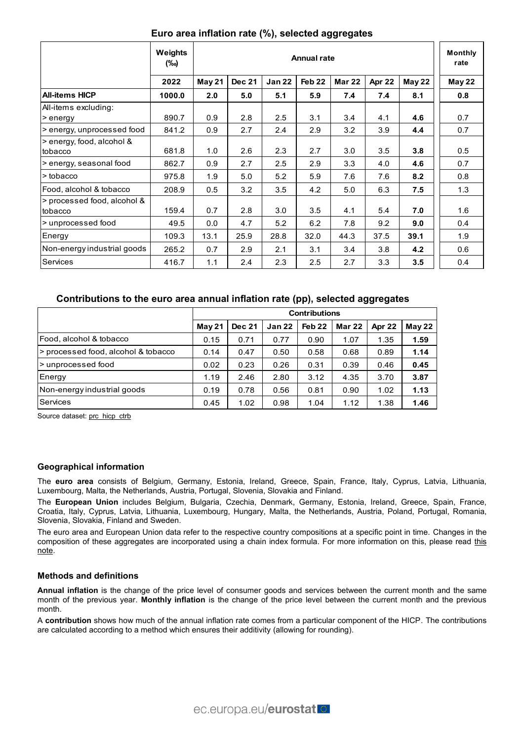|                                        | Weights<br>(‰) | <b>Annual rate</b> |               |               |                   |               |        |        | <b>Monthly</b><br>rate |
|----------------------------------------|----------------|--------------------|---------------|---------------|-------------------|---------------|--------|--------|------------------------|
|                                        | 2022           | May 21             | <b>Dec 21</b> | <b>Jan 22</b> | Feb <sub>22</sub> | <b>Mar 22</b> | Apr 22 | May 22 | May 22                 |
| <b>All-items HICP</b>                  | 1000.0         | 2.0                | 5.0           | 5.1           | 5.9               | 7.4           | 7.4    | 8.1    | 0.8                    |
| All-items excluding:<br>> energy       | 890.7          | 0.9                | 2.8           | 2.5           | 3.1               | 3.4           | 4.1    | 4.6    | 0.7                    |
| > energy, unprocessed food             | 841.2          | 0.9                | 2.7           | 2.4           | 2.9               | 3.2           | 3.9    | 4.4    | 0.7                    |
| > energy, food, alcohol &<br>tobacco   | 681.8          | 1.0                | 2.6           | 2.3           | 2.7               | 3.0           | 3.5    | 3.8    | 0.5                    |
| > energy, seasonal food                | 862.7          | 0.9                | 2.7           | 2.5           | 2.9               | 3.3           | 4.0    | 4.6    | 0.7                    |
| > tobacco                              | 975.8          | 1.9                | 5.0           | 5.2           | 5.9               | 7.6           | 7.6    | 8.2    | 0.8                    |
| Food, alcohol & tobacco                | 208.9          | 0.5                | 3.2           | 3.5           | 4.2               | 5.0           | 6.3    | 7.5    | 1.3                    |
| > processed food, alcohol &<br>tobacco | 159.4          | 0.7                | 2.8           | 3.0           | 3.5               | 4.1           | 5.4    | 7.0    | 1.6                    |
| > unprocessed food                     | 49.5           | 0.0                | 4.7           | 5.2           | 6.2               | 7.8           | 9.2    | 9.0    | 0.4                    |
| Energy                                 | 109.3          | 13.1               | 25.9          | 28.8          | 32.0              | 44.3          | 37.5   | 39.1   | 1.9                    |
| Non-energy industrial goods            | 265.2          | 0.7                | 2.9           | 2.1           | 3.1               | 3.4           | 3.8    | 4.2    | 0.6                    |
| Services                               | 416.7          | 1.1                | 2.4           | 2.3           | 2.5               | 2.7           | 3.3    | 3.5    | 0.4                    |

## **Euro area inflation rate (%), selected aggregates**

## **Contributions to the euro area annual inflation rate (pp), selected aggregates**

|                                     | <b>Contributions</b> |               |               |                   |        |        |        |
|-------------------------------------|----------------------|---------------|---------------|-------------------|--------|--------|--------|
|                                     | May <sub>21</sub>    | <b>Dec 21</b> | <b>Jan 22</b> | Feb <sub>22</sub> | Mar 22 | Apr 22 | May 22 |
| Food, alcohol & tobacco             | 0.15                 | 0.71          | 0.77          | 0.90              | 1.07   | 1.35   | 1.59   |
| > processed food, alcohol & tobacco | 0.14                 | 0.47          | 0.50          | 0.58              | 0.68   | 0.89   | 1.14   |
| > unprocessed food                  | 0.02                 | 0.23          | 0.26          | 0.31              | 0.39   | 0.46   | 0.45   |
| Energy                              | 1.19                 | 2.46          | 2.80          | 3.12              | 4.35   | 3.70   | 3.87   |
| Non-energy industrial goods         | 0.19                 | 0.78          | 0.56          | 0.81              | 0.90   | 1.02   | 1.13   |
| Services                            | 0.45                 | 1.02          | 0.98          | 1.04              | 1.12   | 1.38   | 1.46   |

Source dataset: [prc\\_hicp\\_ctrb](https://ec.europa.eu/eurostat/databrowser/bookmark/bac11816-2418-49ca-8966-654723b72928?lang=en)

#### **Geographical information**

The **euro area** consists of Belgium, Germany, Estonia, Ireland, Greece, Spain, France, Italy, Cyprus, Latvia, Lithuania, Luxembourg, Malta, the Netherlands, Austria, Portugal, Slovenia, Slovakia and Finland.

The **European Union** includes Belgium, Bulgaria, Czechia, Denmark, Germany, Estonia, Ireland, Greece, Spain, France, Croatia, Italy, Cyprus, Latvia, Lithuania, Luxembourg, Hungary, Malta, the Netherlands, Austria, Poland, Portugal, Romania, Slovenia, Slovakia, Finland and Sweden.

The euro area and European Union data refer to the respective country compositions at a specific point in time. Changes in the composition of these aggregates are incorporated using a chain index formula. For more information on this, please read this [note.](https://ec.europa.eu/eurostat/documents/272892/272974/EU-and+EEA-aggregates-calculation-post-Brexit/)

#### **Methods and definitions**

**Annual inflation** is the change of the price level of consumer goods and services between the current month and the same month of the previous year. **Monthly inflation** is the change of the price level between the current month and the previous month.

A **contribution** shows how much of the annual inflation rate comes from a particular component of the HICP. The contributions are calculated according to a method which ensures their additivity (allowing for rounding).